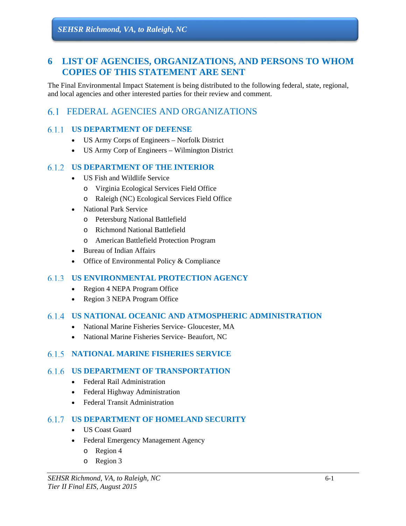# **6 LIST OF AGENCIES, ORGANIZATIONS, AND PERSONS TO WHOM COPIES OF THIS STATEMENT ARE SENT**

The Final Environmental Impact Statement is being distributed to the following federal, state, regional, and local agencies and other interested parties for their review and comment.

# FEDERAL AGENCIES AND ORGANIZATIONS

### **US DEPARTMENT OF DEFENSE**

- US Army Corps of Engineers Norfolk District
- US Army Corp of Engineers Wilmington District

### **US DEPARTMENT OF THE INTERIOR**

- US Fish and Wildlife Service
	- o Virginia Ecological Services Field Office
	- o Raleigh (NC) Ecological Services Field Office
- National Park Service
	- o Petersburg National Battlefield
	- o Richmond National Battlefield
	- o American Battlefield Protection Program
- Bureau of Indian Affairs
- Office of Environmental Policy & Compliance

### **US ENVIRONMENTAL PROTECTION AGENCY**

- Region 4 NEPA Program Office
- Region 3 NEPA Program Office

### **US NATIONAL OCEANIC AND ATMOSPHERIC ADMINISTRATION**

- National Marine Fisheries Service- Gloucester, MA
- National Marine Fisheries Service- Beaufort, NC

### **NATIONAL MARINE FISHERIES SERVICE**

### **US DEPARTMENT OF TRANSPORTATION**

- Federal Rail Administration
- Federal Highway Administration
- Federal Transit Administration

### **US DEPARTMENT OF HOMELAND SECURITY**

- US Coast Guard
- Federal Emergency Management Agency
	- o Region 4
	- o Region 3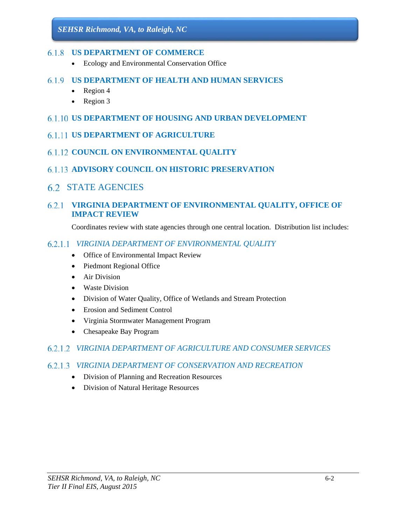#### **US DEPARTMENT OF COMMERCE**

- Ecology and Environmental Conservation Office
- **US DEPARTMENT OF HEALTH AND HUMAN SERVICES** 
	- $\bullet$  Region 4
	- Region 3
- **US DEPARTMENT OF HOUSING AND URBAN DEVELOPMENT**
- **6.1.11 US DEPARTMENT OF AGRICULTURE**
- **6.1.12 COUNCIL ON ENVIRONMENTAL QUALITY**
- **ADVISORY COUNCIL ON HISTORIC PRESERVATION**
- STATE AGENCIES

### **VIRGINIA DEPARTMENT OF ENVIRONMENTAL QUALITY, OFFICE OF IMPACT REVIEW**

Coordinates review with state agencies through one central location. Distribution list includes:

### *VIRGINIA DEPARTMENT OF ENVIRONMENTAL QUALITY*

- Office of Environmental Impact Review
- Piedmont Regional Office
- Air Division
- Waste Division
- Division of Water Quality, Office of Wetlands and Stream Protection
- Erosion and Sediment Control
- Virginia Stormwater Management Program
- Chesapeake Bay Program

### *VIRGINIA DEPARTMENT OF AGRICULTURE AND CONSUMER SERVICES*

### *VIRGINIA DEPARTMENT OF CONSERVATION AND RECREATION*

- Division of Planning and Recreation Resources
- Division of Natural Heritage Resources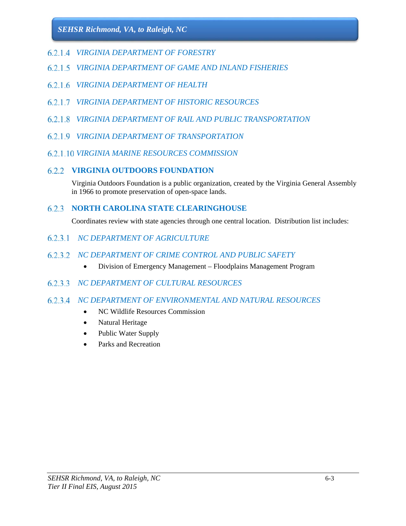- *VIRGINIA DEPARTMENT OF FORESTRY*
- *VIRGINIA DEPARTMENT OF GAME AND INLAND FISHERIES*
- *VIRGINIA DEPARTMENT OF HEALTH*
- *VIRGINIA DEPARTMENT OF HISTORIC RESOURCES*
- *VIRGINIA DEPARTMENT OF RAIL AND PUBLIC TRANSPORTATION*
- *VIRGINIA DEPARTMENT OF TRANSPORTATION*
- *VIRGINIA MARINE RESOURCES COMMISSION*

### **VIRGINIA OUTDOORS FOUNDATION**

Virginia Outdoors Foundation is a public organization, created by the Virginia General Assembly in 1966 to promote preservation of open-space lands.

## **NORTH CAROLINA STATE CLEARINGHOUSE**

Coordinates review with state agencies through one central location. Distribution list includes:

- *NC DEPARTMENT OF AGRICULTURE*
- *NC DEPARTMENT OF CRIME CONTROL AND PUBLIC SAFETY* 
	- Division of Emergency Management Floodplains Management Program

### *NC DEPARTMENT OF CULTURAL RESOURCES*

### *NC DEPARTMENT OF ENVIRONMENTAL AND NATURAL RESOURCES*

- NC Wildlife Resources Commission
- Natural Heritage
- Public Water Supply
- Parks and Recreation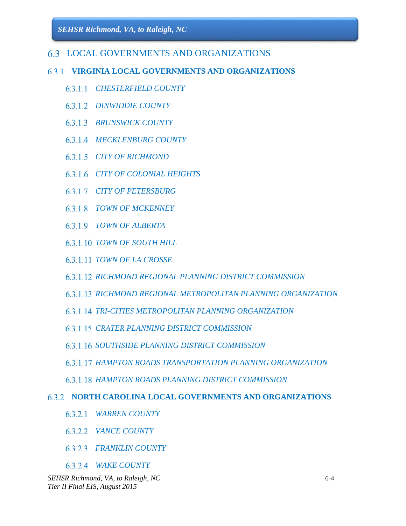# LOCAL GOVERNMENTS AND ORGANIZATIONS

# **VIRGINIA LOCAL GOVERNMENTS AND ORGANIZATIONS**

- *CHESTERFIELD COUNTY*
- *DINWIDDIE COUNTY*
- *BRUNSWICK COUNTY*
- *MECKLENBURG COUNTY*
- *CITY OF RICHMOND*
- *CITY OF COLONIAL HEIGHTS*
- *CITY OF PETERSBURG*
- *TOWN OF MCKENNEY*
- *TOWN OF ALBERTA*
- *TOWN OF SOUTH HILL*
- *TOWN OF LA CROSSE*
- *RICHMOND REGIONAL PLANNING DISTRICT COMMISSION*
- *RICHMOND REGIONAL METROPOLITAN PLANNING ORGANIZATION*
- *TRI-CITIES METROPOLITAN PLANNING ORGANIZATION*
- *CRATER PLANNING DISTRICT COMMISSION*
- *SOUTHSIDE PLANNING DISTRICT COMMISSION*
- *HAMPTON ROADS TRANSPORTATION PLANNING ORGANIZATION*
- *HAMPTON ROADS PLANNING DISTRICT COMMISSION*

### **NORTH CAROLINA LOCAL GOVERNMENTS AND ORGANIZATIONS**

- *WARREN COUNTY*
- *VANCE COUNTY*
- *FRANKLIN COUNTY*
- *WAKE COUNTY*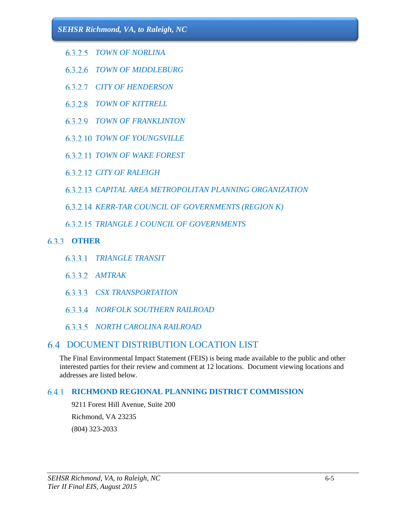- *TOWN OF NORLINA*
- *TOWN OF MIDDLEBURG*
- *CITY OF HENDERSON*
- *TOWN OF KITTRELL*
- *TOWN OF FRANKLINTON*
- *TOWN OF YOUNGSVILLE*
- *TOWN OF WAKE FOREST*
- *CITY OF RALEIGH*
- *CAPITAL AREA METROPOLITAN PLANNING ORGANIZATION*
- *KERR-TAR COUNCIL OF GOVERNMENTS (REGION K)*
- **6.3.2.15 TRIANGLE J COUNCIL OF GOVERNMENTS**

# **OTHER**

- *TRIANGLE TRANSIT*
- *AMTRAK*
- *CSX TRANSPORTATION*
- *NORFOLK SOUTHERN RAILROAD*
- *NORTH CAROLINA RAILROAD*

# DOCUMENT DISTRIBUTION LOCATION LIST

The Final Environmental Impact Statement (FEIS) is being made available to the public and other interested parties for their review and comment at 12 locations. Document viewing locations and addresses are listed below.

# **RICHMOND REGIONAL PLANNING DISTRICT COMMISSION**

9211 Forest Hill Avenue, Suite 200 Richmond, VA 23235 (804) 323-2033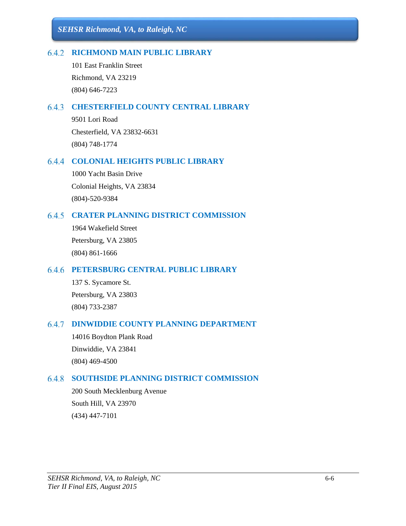### **RICHMOND MAIN PUBLIC LIBRARY**

101 East Franklin Street Richmond, VA 23219 (804) 646-7223

### **CHESTERFIELD COUNTY CENTRAL LIBRARY**

9501 Lori Road Chesterfield, VA 23832-6631 (804) 748-1774

### **COLONIAL HEIGHTS PUBLIC LIBRARY**

1000 Yacht Basin Drive Colonial Heights, VA 23834 (804)-520-9384

### **CRATER PLANNING DISTRICT COMMISSION**

1964 Wakefield Street Petersburg, VA 23805 (804) 861-1666

### **PETERSBURG CENTRAL PUBLIC LIBRARY**

137 S. Sycamore St. Petersburg, VA 23803 (804) 733-2387

### **DINWIDDIE COUNTY PLANNING DEPARTMENT**

14016 Boydton Plank Road Dinwiddie, VA 23841 (804) 469-4500

### **SOUTHSIDE PLANNING DISTRICT COMMISSION**

200 South Mecklenburg Avenue South Hill, VA 23970 (434) 447-7101